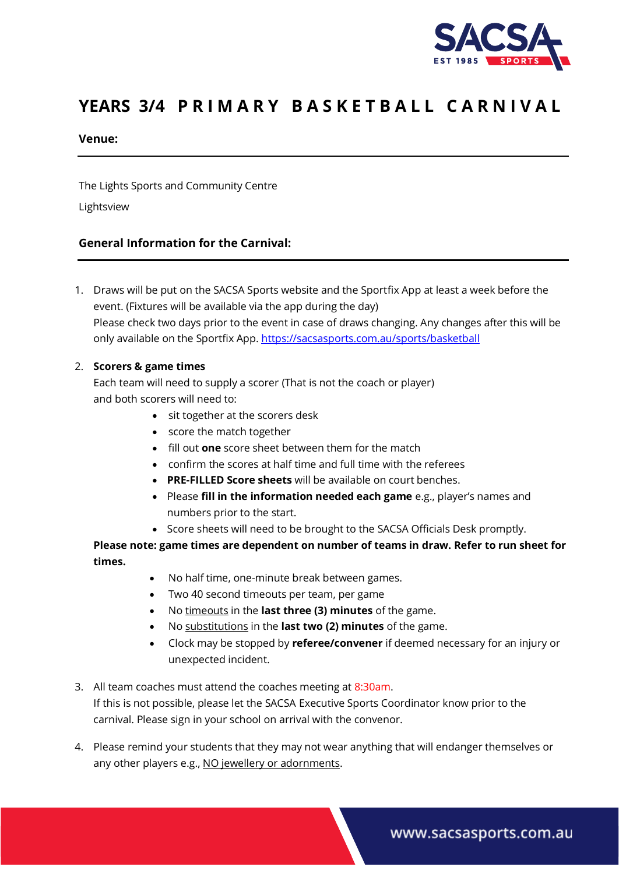

# YEARS 3/4 PRIMARY BASKETBALL CARNIVAL

#### **Venue:**

The Lights Sports and Community Centre

Lightsview

## **General Information for the Carnival:**

1. Draws will be put on the SACSA Sports website and the Sportfix App at least a week before the event. (Fixtures will be available via the app during the day) Please check two days prior to the event in case of draws changing. Any changes after this will be only available on the Sportfix App. <https://sacsasports.com.au/sports/basketball>

#### 2. **Scorers & game times**

Each team will need to supply a scorer (That is not the coach or player) and both scorers will need to:

- sit together at the scorers desk
- score the match together
- fill out **one** score sheet between them for the match
- confirm the scores at half time and full time with the referees
- **PRE-FILLED Score sheets** will be available on court benches.
- Please **fill in the information needed each game** e.g., player's names and numbers prior to the start.
- Score sheets will need to be brought to the SACSA Officials Desk promptly.

## **Please note: game times are dependent on number of teams in draw. Refer to run sheet for times.**

- No half time, one-minute break between games.
- Two 40 second timeouts per team, per game
- No timeouts in the **last three (3) minutes** of the game.
- No substitutions in the **last two (2) minutes** of the game.
- Clock may be stopped by **referee/convener** if deemed necessary for an injury or unexpected incident.
- 3. All team coaches must attend the coaches meeting at 8:30am. If this is not possible, please let the SACSA Executive Sports Coordinator know prior to the carnival. Please sign in your school on arrival with the convenor.
- 4. Please remind your students that they may not wear anything that will endanger themselves or any other players e.g., NO jewellery or adornments.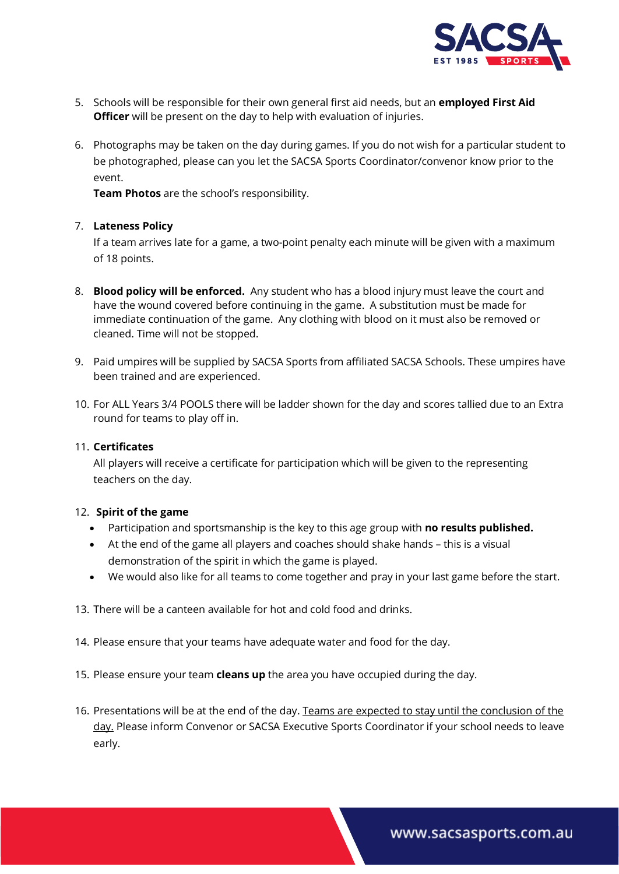

- 5. Schools will be responsible for their own general first aid needs, but an **employed First Aid Officer** will be present on the day to help with evaluation of injuries.
- 6. Photographs may be taken on the day during games. If you do not wish for a particular student to be photographed, please can you let the SACSA Sports Coordinator/convenor know prior to the event.

**Team Photos** are the school's responsibility.

#### 7. **Lateness Policy**

If a team arrives late for a game, a two-point penalty each minute will be given with a maximum of 18 points.

- 8. **Blood policy will be enforced.** Any student who has a blood injury must leave the court and have the wound covered before continuing in the game. A substitution must be made for immediate continuation of the game. Any clothing with blood on it must also be removed or cleaned. Time will not be stopped.
- 9. Paid umpires will be supplied by SACSA Sports from affiliated SACSA Schools. These umpires have been trained and are experienced.
- 10. For ALL Years 3/4 POOLS there will be ladder shown for the day and scores tallied due to an Extra round for teams to play off in.

#### 11. **Certificates**

All players will receive a certificate for participation which will be given to the representing teachers on the day.

#### 12. **Spirit of the game**

- Participation and sportsmanship is the key to this age group with **no results published.**
- At the end of the game all players and coaches should shake hands this is a visual demonstration of the spirit in which the game is played.
- We would also like for all teams to come together and pray in your last game before the start.
- 13. There will be a canteen available for hot and cold food and drinks.
- 14. Please ensure that your teams have adequate water and food for the day.
- 15. Please ensure your team **cleans up** the area you have occupied during the day.
- 16. Presentations will be at the end of the day. Teams are expected to stay until the conclusion of the day. Please inform Convenor or SACSA Executive Sports Coordinator if your school needs to leave early.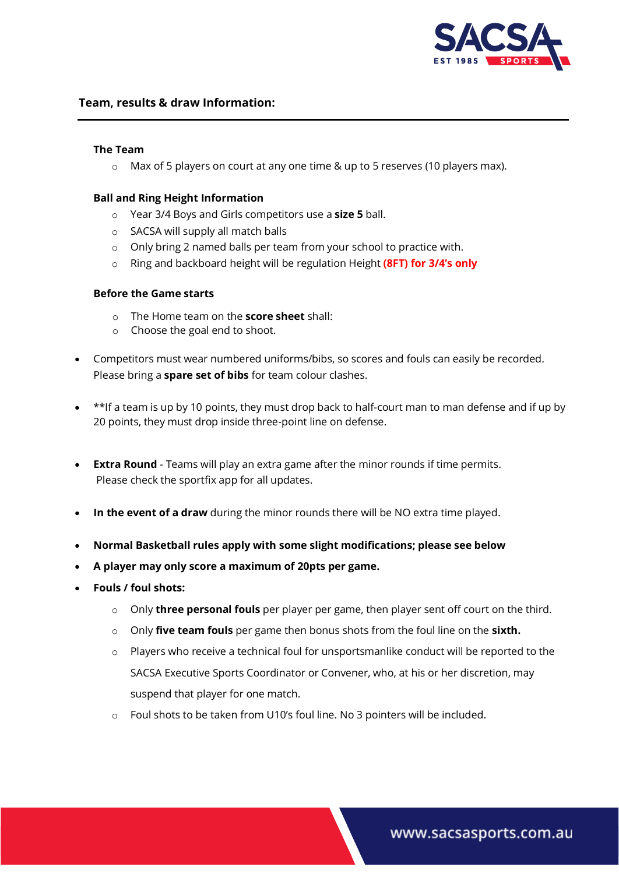

#### **Team, results & draw Information:**

#### **The Team**

 $\circ$  Max of 5 players on court at any one time & up to 5 reserves (10 players max).

#### **Ball and Ring Height Information**

- o Year 3/4 Boys and Girls competitors use a **size 5** ball.
- o SACSA will supply all match balls
- o Only bring 2 named balls per team from your school to practice with.
- o Ring and backboard height will be regulation Height **(8FT) for 3/4's only**

#### **Before the Game starts**

- o The Home team on the **score sheet** shall:
- o Choose the goal end to shoot.
- Competitors must wear numbered uniforms/bibs, so scores and fouls can easily be recorded. Please bring a **spare set of bibs** for team colour clashes.
- \*\*If a team is up by 10 points, they must drop back to half-court man to man defense and if up by 20 points, they must drop inside three-point line on defense.
- **Extra Round** Teams will play an extra game after the minor rounds if time permits. Please check the sportfix app for all updates.
- **In the event of a draw** during the minor rounds there will be NO extra time played.
- **Normal Basketball rules apply with some slight modifications; please see below**
- **A player may only score a maximum of 20pts per game.**
- **Fouls / foul shots:**
	- o Only **three personal fouls** per player per game, then player sent off court on the third.
	- o Only **five team fouls** per game then bonus shots from the foul line on the **sixth.**
	- $\circ$  Players who receive a technical foul for unsportsmanlike conduct will be reported to the SACSA Executive Sports Coordinator or Convener, who, at his or her discretion, may suspend that player for one match.
	- o Foul shots to be taken from U10's foul line. No 3 pointers will be included.